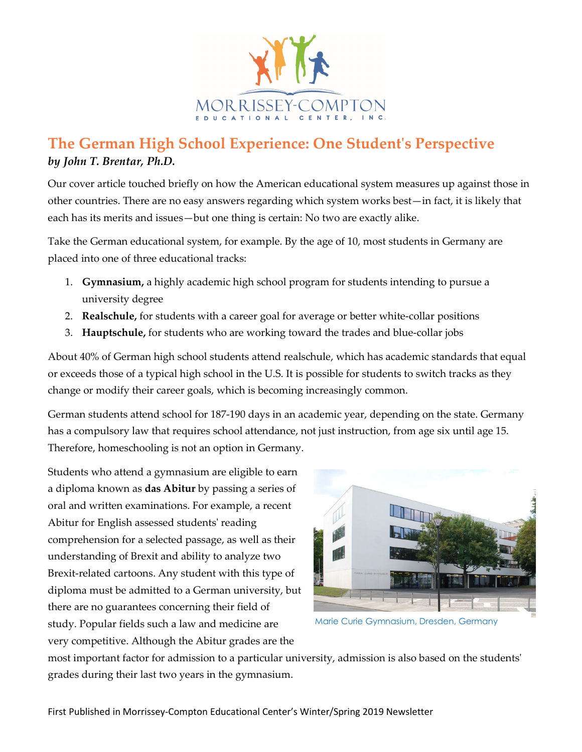

## **The German High School Experience: One Student's Perspective** *by John T. Brentar, Ph.D.*

Our cover article touched briefly on how the American educational system measures up against those in other countries. There are no easy answers regarding which system works best—in fact, it is likely that each has its merits and issues—but one thing is certain: No two are exactly alike.

Take the German educational system, for example. By the age of 10, most students in Germany are placed into one of three educational tracks:

- 1. **Gymnasium,** a highly academic high school program for students intending to pursue a university degree
- 2. **Realschule,** for students with a career goal for average or better white-collar positions
- 3. **Hauptschule,** for students who are working toward the trades and blue-collar jobs

About 40% of German high school students attend realschule, which has academic standards that equal or exceeds those of a typical high school in the U.S. It is possible for students to switch tracks as they change or modify their career goals, which is becoming increasingly common.

German students attend school for 187-190 days in an academic year, depending on the state. Germany has a compulsory law that requires school attendance, not just instruction, from age six until age 15. Therefore, homeschooling is not an option in Germany.

Students who attend a gymnasium are eligible to earn a diploma known as **das Abitur** by passing a series of oral and written examinations. For example, a recent Abitur for English assessed students' reading comprehension for a selected passage, as well as their understanding of Brexit and ability to analyze two Brexit-related cartoons. Any student with this type of diploma must be admitted to a German university, but there are no guarantees concerning their field of study. Popular fields such a law and medicine are very competitive. Although the Abitur grades are the



Marie Curie Gymnasium, Dresden, Germany

most important factor for admission to a particular university, admission is also based on the students' grades during their last two years in the gymnasium.